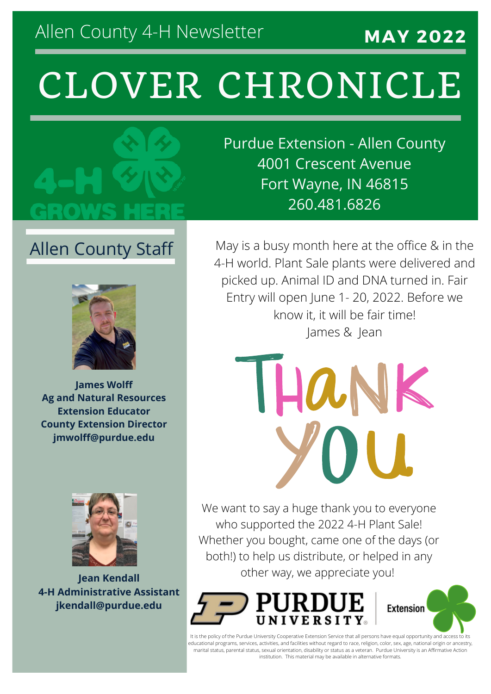### Allen County 4-H Newsletter

#### **MAY 2022**

## CLOVER CHRONICLE



Purdue Extension - Allen County 4001 Crescent Avenue Fort Wayne, IN 46815 260.481.6826

#### Allen County Staff



**James Wolff Ag and Natural Resources Extension Educator County Extension Director jmwolff@purdue.edu**



**Jean Kendall 4-H Administrative Assistant jkendall@purdue.edu**

May is a busy month here at the office & in the 4-H world. Plant Sale plants were delivered and picked up. Animal ID and DNA turned in. Fair Entry will open June 1- 20, 2022. Before we know it, it will be fair time! James & Jean

HANK

We want to say a huge thank you to everyone who supported the 2022 4-H Plant Sale! Whether you bought, came one of the days (or both!) to help us distribute, or helped in any other way, we appreciate you!



**Extension** 

It is the policy of the Purdue University Cooperative Extension Service that all persons have equal opportunity and access to its educational programs, services, activities, and facilities without regard to race, religion, color, sex, age, national origin or ancestry, marital status, parental status, sexual orientation, disability or status as a veteran. Purdue University is an Affirmative Action institution. This material may be available in alternative formats.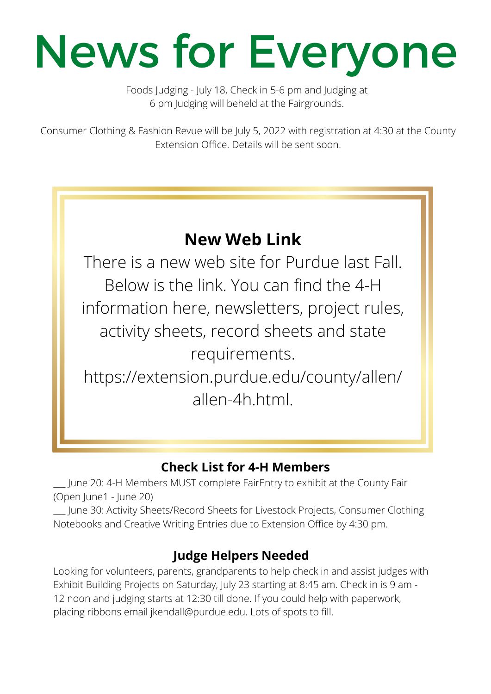# News for Everyone

Foods Judging - July 18, Check in 5-6 pm and Judging at 6 pm Judging will beheld at the Fairgrounds.

Consumer Clothing & Fashion Revue will be July 5, 2022 with registration at 4:30 at the County Extension Office. Details will be sent soon.

#### **New Web Link**

There is a new web site for Purdue last Fall. Below is the link. You can find the 4-H information here, newsletters, project rules, activity sheets, record sheets and state requirements. https://extension.purdue.edu/county/allen/

allen-4h.html.

#### **Check List for 4-H Members**

\_\_\_ June 20: 4-H Members MUST complete FairEntry to exhibit at the County Fair (Open June1 - June 20)

\_\_\_ June 30: Activity Sheets/Record Sheets for Livestock Projects, Consumer Clothing Notebooks and Creative Writing Entries due to Extension Office by 4:30 pm.

#### **Judge Helpers Needed**

Looking for volunteers, parents, grandparents to help check in and assist judges with Exhibit Building Projects on Saturday, July 23 starting at 8:45 am. Check in is 9 am - 12 noon and judging starts at 12:30 till done. If you could help with paperwork, placing ribbons email jkendall@purdue.edu. Lots of spots to fill.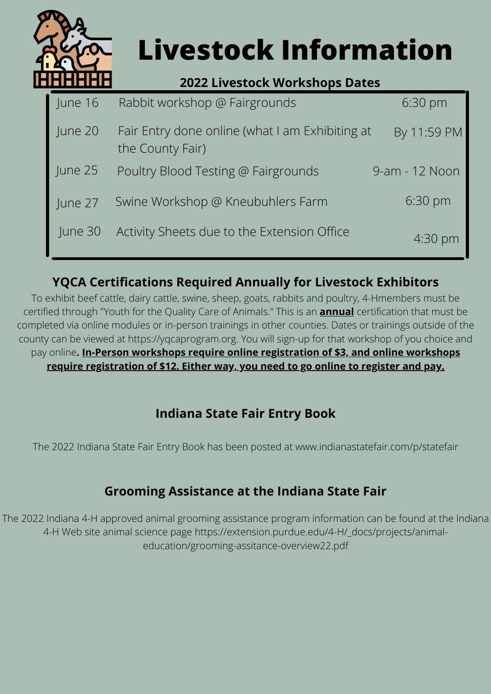

### **Livestock Information**

#### **2022 Livestock Workshops Dates**

| June 16   | Rabbit workshop @ Fairgrounds                                       | $6:30 \text{ pm}$ |
|-----------|---------------------------------------------------------------------|-------------------|
| June 20   | Fair Entry done online (what I am Exhibiting at<br>the County Fair) | By 11:59 PM       |
| June $25$ | Poultry Blood Testing @ Fairgrounds                                 | 9-am - 12 Noon    |
| June 27   | Swine Workshop @ Kneubuhlers Farm                                   | $6:30 \text{ pm}$ |
| June 30   | Activity Sheets due to the Extension Office                         | $4:30 \text{ pm}$ |

#### **YQCA Certifications Required Annually for Livestock Exhibitors**

To exhibit beef cattle, dairy cattle, swine, sheep, goats, rabbits and poultry, 4-Hmembers must be certified through "Youth for the Quality Care of Animals." This is an **annual** certification that must be completed via online modules or in-person trainings in other counties. Dates or trainings outside of the county can be viewed at https://yqcaprogram.org. You will sign-up for that workshop of you choice and pay online**. In-Person workshops require online registration of \$3, and online workshops require registration of \$12. Either way, you need to go online to register and pay.**

#### **Indiana State Fair Entry Book**

The 2022 Indiana State Fair Entry Book has been posted at www.indianastatefair.com/p/statefair

#### **Grooming Assistance at the Indiana State Fair**

The 2022 Indiana 4-H approved animal grooming assistance program information can be found at the Indiana 4-H Web site animal science page https://extension.purdue.edu/4-H/\_docs/projects/animaleducation/grooming-assitance-overview22.pdf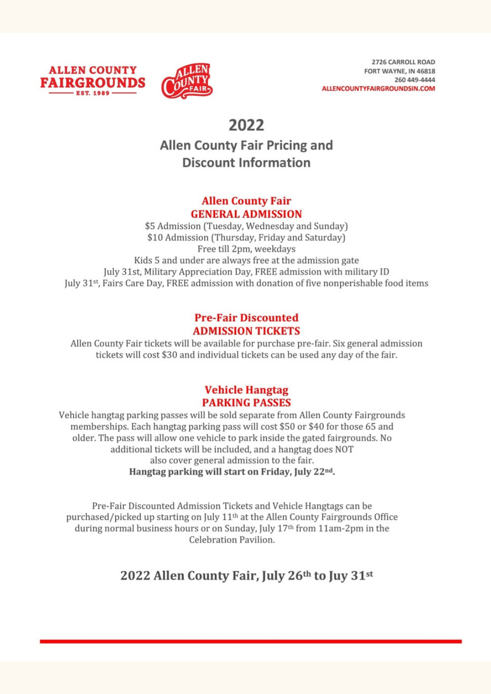



#### 2022 **Allen County Fair Pricing and Discount Information**

#### **Allen County Fair GENERAL ADMISSION**

\$5 Admission (Tuesday, Wednesday and Sunday) \$10 Admission (Thursday, Friday and Saturday) Free till 2pm, weekdays Kids 5 and under are always free at the admission gate July 31st, Military Appreciation Day, FREE admission with military ID July 31<sup>st</sup>, Fairs Care Day, FREE admission with donation of five nonperishable food items

#### **Pre-Fair Discounted ADMISSION TICKETS**

Allen County Fair tickets will be available for purchase pre-fair. Six general admission tickets will cost \$30 and individual tickets can be used any day of the fair.

#### **Vehicle Hangtag PARKING PASSES**

Vehicle hangtag parking passes will be sold separate from Allen County Fairgrounds memberships. Each hangtag parking pass will cost \$50 or \$40 for those 65 and older. The pass will allow one vehicle to park inside the gated fairgrounds. No additional tickets will be included, and a hangtag does NOT also cover general admission to the fair. Hangtag parking will start on Friday, July 22nd.

Pre-Fair Discounted Admission Tickets and Vehicle Hangtags can be purchased/picked up starting on July 11<sup>th</sup> at the Allen County Fairgrounds Office during normal business hours or on Sunday, July 17th from 11am-2pm in the Celebration Pavilion.

#### 2022 Allen County Fair, July 26th to Juy 31st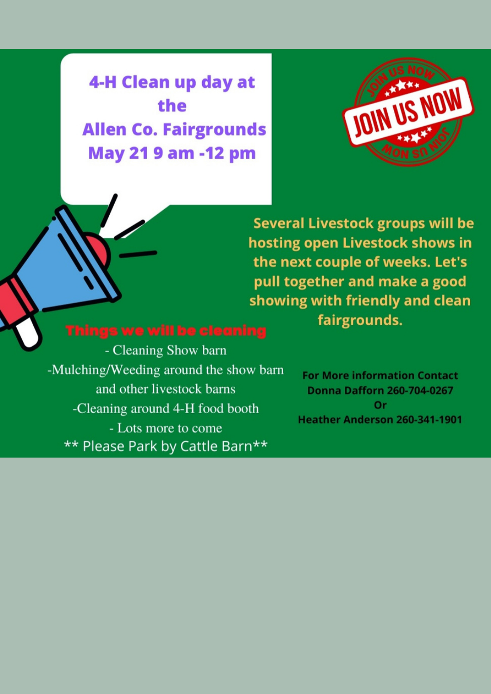4-H Clean up day at the **Allen Co. Fairgrounds May 21 9 am -12 pm** 



**Several Livestock groups will be** hosting open Livestock shows in the next couple of weeks. Let's pull together and make a good showing with friendly and clean fairgrounds.

- Cleaning Show barn -Mulching/Weeding around the show barn and other livestock barns -Cleaning around 4-H food booth - Lots more to come \*\* Please Park by Cattle Barn\*\*

**For More information Contact Donna Dafforn 260-704-0267** Or **Heather Anderson 260-341-1901**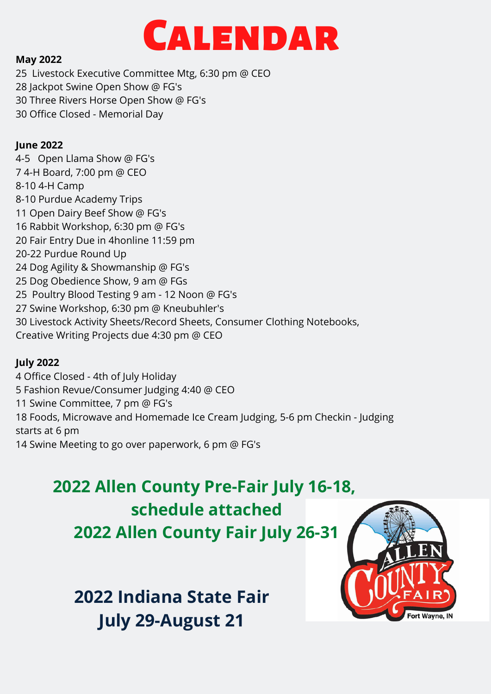

#### **May 2022**

25 Livestock Executive Committee Mtg, 6:30 pm @ CEO 28 Jackpot Swine Open Show @ FG's 30 Three Rivers Horse Open Show @ FG's 30 Office Closed - Memorial Day

#### **June 2022**

4-5 Open Llama Show @ FG's 7 4-H Board, 7:00 pm @ CEO 8-10 4-H Camp 8-10 Purdue Academy Trips 11 Open Dairy Beef Show @ FG's 16 Rabbit Workshop, 6:30 pm @ FG's 20 Fair Entry Due in 4honline 11:59 pm 20-22 Purdue Round Up 24 Dog Agility & Showmanship @ FG's 25 Dog Obedience Show, 9 am @ FGs 25 Poultry Blood Testing 9 am - 12 Noon @ FG's 27 Swine Workshop, 6:30 pm @ Kneubuhler's 30 Livestock Activity Sheets/Record Sheets, Consumer Clothing Notebooks, Creative Writing Projects due 4:30 pm @ CEO

#### **July 2022**

4 Office Closed - 4th of July Holiday 5 Fashion Revue/Consumer Judging 4:40 @ CEO

11 Swine Committee, 7 pm @ FG's

18 Foods, Microwave and Homemade Ice Cream Judging, 5-6 pm Checkin - Judging starts at 6 pm

14 Swine Meeting to go over paperwork, 6 pm @ FG's

### **2022 Allen County Pre-Fair July 16-18, schedule attached**

**2022 Allen County Fair July 26-31**

**2022 Indiana State Fair July 29-August 21**